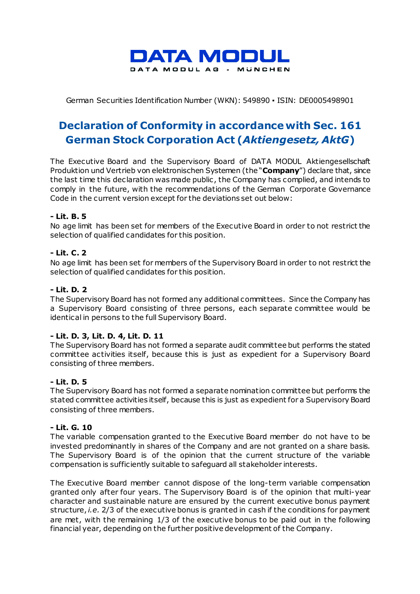

German Securities Identification Number (WKN): 549890 ▪ ISIN: DE0005498901

# **Declaration of Conformity in accordance with Sec. 161 German Stock Corporation Act (***Aktiengesetz, AktG***)**

The Executive Board and the Supervisory Board of DATA MODUL Aktiengesellschaft Produktion und Vertrieb von elektronischen Systemen (the "**Company**") declare that, since the last time this declaration was made public , the Company has complied, and intends to comply in the future, with the recommendations of the German Corporate Governance Code in the current version except for the deviations set out below:

## **- Lit. B. 5**

No age limit has been set for members of the Executive Board in order to not restrict the selection of qualified candidates for this position.

## **- Lit. C. 2**

No age limit has been set for members of the Supervisory Board in order to not restrict the selection of qualified candidates for this position.

## **- Lit. D. 2**

The Supervisory Board has not formed any additional committees. Since the Company has a Supervisory Board consisting of three persons, each separate committee would be identical in persons to the full Supervisory Board.

#### **- Lit. D. 3, Lit. D. 4, Lit. D. 11**

The Supervisory Board has not formed a separate audit committee but performs the stated committee activities itself, because this is just as expedient for a Supervisory Board consisting of three members.

#### **- Lit. D. 5**

The Supervisory Board has not formed a separate nomination committee but performs the stated committee activities itself, because this is just as expedient for a Supervisory Board consisting of three members.

#### **- Lit. G. 10**

The variable compensation granted to the Executive Board member do not have to be invested predominantly in shares of the Company and are not granted on a share basis. The Supervisory Board is of the opinion that the current structure of the variable compensation is sufficiently suitable to safeguard all stakeholder interests.

The Executive Board member cannot dispose of the long-term variable compensation granted only after four years. The Supervisory Board is of the opinion that multi-year character and sustainable nature are ensured by the current executive bonus payment structure, *i.e.* 2/3 of the executive bonus is granted in cash if the conditions for payment are met, with the remaining 1/3 of the executive bonus to be paid out in the following financial year, depending on the further positive development of the Company.